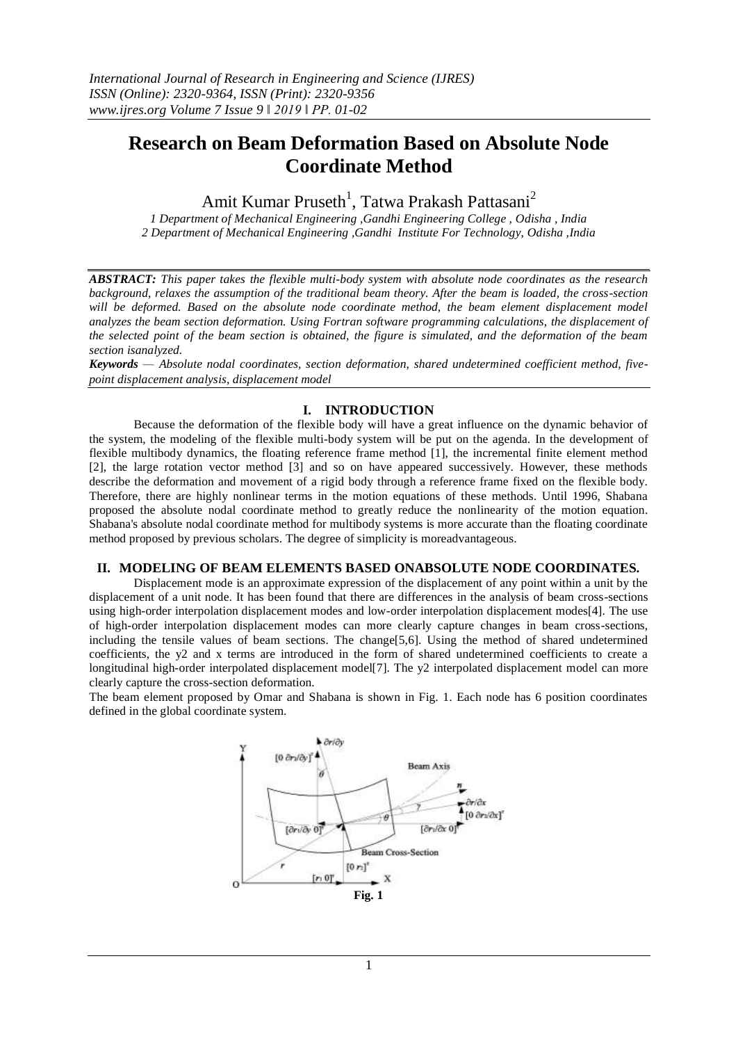## **Research on Beam Deformation Based on Absolute Node Coordinate Method**

Amit Kumar Pruseth<sup>1</sup>, Tatwa Prakash Pattasani<sup>2</sup>

*1 Department of Mechanical Engineering ,Gandhi Engineering College , Odisha , India 2 Department of Mechanical Engineering ,Gandhi Institute For Technology, Odisha ,India*

*ABSTRACT: This paper takes the flexible multi-body system with absolute node coordinates as the research background, relaxes the assumption of the traditional beam theory. After the beam is loaded, the cross-section*  will be deformed. Based on the absolute node coordinate method, the beam element displacement model *analyzes the beam section deformation. Using Fortran software programming calculations, the displacement of the selected point of the beam section is obtained, the figure is simulated, and the deformation of the beam section isanalyzed.*

*Keywords — Absolute nodal coordinates, section deformation, shared undetermined coefficient method, fivepoint displacement analysis, displacement model*

## **I. INTRODUCTION**

Because the deformation of the flexible body will have a great influence on the dynamic behavior of the system, the modeling of the flexible multi-body system will be put on the agenda. In the development of flexible multibody dynamics, the floating reference frame method [1], the incremental finite element method [2], the large rotation vector method [3] and so on have appeared successively. However, these methods describe the deformation and movement of a rigid body through a reference frame fixed on the flexible body. Therefore, there are highly nonlinear terms in the motion equations of these methods. Until 1996, Shabana proposed the absolute nodal coordinate method to greatly reduce the nonlinearity of the motion equation. Shabana's absolute nodal coordinate method for multibody systems is more accurate than the floating coordinate method proposed by previous scholars. The degree of simplicity is moreadvantageous.

## **II. MODELING OF BEAM ELEMENTS BASED ONABSOLUTE NODE COORDINATES.**

Displacement mode is an approximate expression of the displacement of any point within a unit by the displacement of a unit node. It has been found that there are differences in the analysis of beam cross-sections using high-order interpolation displacement modes and low-order interpolation displacement modes[4]. The use of high-order interpolation displacement modes can more clearly capture changes in beam cross-sections, including the tensile values of beam sections. The change[5,6]. Using the method of shared undetermined coefficients, the y2 and x terms are introduced in the form of shared undetermined coefficients to create a longitudinal high-order interpolated displacement model[7]. The y2 interpolated displacement model can more clearly capture the cross-section deformation.

The beam element proposed by Omar and Shabana is shown in Fig. 1. Each node has 6 position coordinates defined in the global coordinate system.